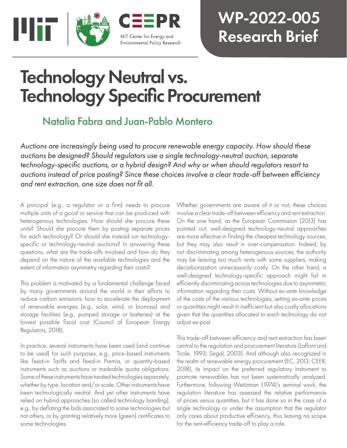

## WP-2022-005 Research Brief

# Technology Neutral vs. Technology Specific Procurement

## Natalia Fabra and Juan-Pablo Montero

*Auctions are increasingly being used to procure renewable energy capacity. How should these auctions be designed? Should regulators use a single technology-neutral auction, separate technology-specific auctions, or a hybrid design? And why or when should regulators resort to auctions instead of price posting? Since these choices involve a clear trade-off between efficiency and rent extraction, one size does not fit all.*

A principal (e.g., a regulator or a firm) needs to procure multiple units of a good or service that can be produced with heterogenous technologies. How should she procure these units? Should she procure them by posting separate prices for each technology? Or should she instead run technologyspecific or technology-neutral auctions? In answering these questions, what are the trade-offs involved and how do they depend on the nature of the available technologies and the extent of information asymmetry regarding their costs?

This problem is motivated by a fundamental challenge faced by many governments around the world in their efforts to reduce carbon emissions: how to accelerate the deployment of renewable energies (e.g., solar, wind, or biomass) and storage facilities (e.g., pumped storage or batteries) at the lowest possible fiscal cost (Council of European Energy Regulators, 2018).

In practice, several instruments have been used (and continue to be used) for such purposes, e.g., price-based instruments like Feed-in Tariffs and Feed-in Premia, or quantity-based instruments such as auctions or tradeable quota obligations. Some of these instruments have treated technologies separately, whether by type, location and/or scale. Other instruments have been technologically neutral. And yet other instruments have relied on hybrid approaches (so called technology banding), e.g., by deflating the bids associated to some technologies but not others, or by granting relatively more (green) certificates to some technologies.

Whether governments are aware of it or not, these choices involve a clear trade-off between efficiency and rent extraction. On the one hand, as the European Commission (2013) has pointed out, well-designed technology-neutral approaches are more effective in finding the cheapest technology sources, but they may also result in over-compensation. Indeed, by not discriminating among heterogenous sources, the authority may be leaving too much rents with some suppliers, making decarbonization unnecessarily costly. On the other hand, a well-designed technology-specific approach might fail in efficiently discriminating across technologies due to asymmetric information regarding their costs. Without ex-ante knowledge of the costs of the various technologies, setting ex-ante prices or quantities might result in inefficient but also costly allocations given that the quantities allocated to each technology do not adjust ex-post.

This trade-off between efficiency and rent extraction has been central to the regulation and procurement literature (Laffont and Tirole, 1993; Segal, 2003). And although also recognized in the realm of renewable energy procurement (EC, 2013; CEER, 2018), its impact on the preferred regulatory instrument to promote renewables has not been systematically analyzed. Furthermore, following Weitzman (1974)'s seminal work, the regulation literature has assessed the relative performance of prices versus quantities, but it has done so in the case of a single technology or under the assumption that the regulator only cares about productive efficiency, thus leaving no scope for the rent-efficiency trade-off to play a role.